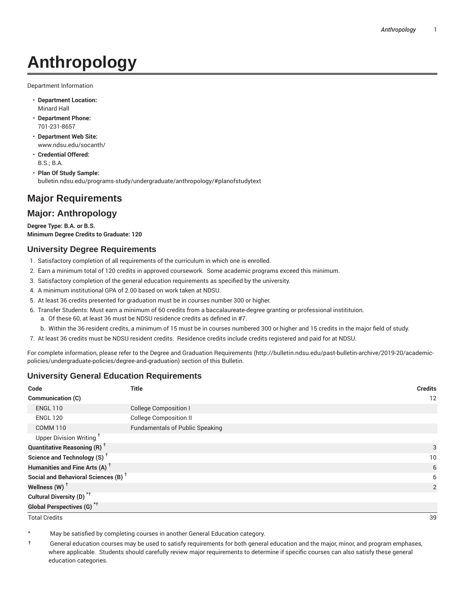# **Anthropology**

Department Information

- **Department Location:** Minard Hall
- **Department Phone:** 701-231-8657
- **Department Web Site:** www.ndsu.edu/socanth/
- **Credential Offered:** B.S.; B.A.
- **Plan Of Study Sample:** bulletin.ndsu.edu/programs-study/undergraduate/anthropology/#planofstudytext

## **Major Requirements**

### **Major: Anthropology**

**Degree Type: B.A. or B.S. Minimum Degree Credits to Graduate: 120**

#### **University Degree Requirements**

- 1. Satisfactory completion of all requirements of the curriculum in which one is enrolled.
- 2. Earn a minimum total of 120 credits in approved coursework. Some academic programs exceed this minimum.
- 3. Satisfactory completion of the general education requirements as specified by the university.
- 4. A minimum institutional GPA of 2.00 based on work taken at NDSU.
- 5. At least 36 credits presented for graduation must be in courses number 300 or higher.
- 6. Transfer Students: Must earn a minimum of 60 credits from a baccalaureate-degree granting or professional institituion.
	- a. Of these 60, at least 36 must be NDSU residence credits as defined in #7.
	- b. Within the 36 resident credits, a minimum of 15 must be in courses numbered 300 or higher and 15 credits in the major field of study.
- 7. At least 36 credits must be NDSU resident credits. Residence credits include credits registered and paid for at NDSU.

For complete information, please refer to the Degree and Graduation Requirements (http://bulletin.ndsu.edu/past-bulletin-archive/2019-20/academicpolicies/undergraduate-policies/degree-and-graduation) section of this Bulletin.

#### **University General Education Requirements**

| Code                                            | <b>Title</b>                           | <b>Credits</b> |
|-------------------------------------------------|----------------------------------------|----------------|
| <b>Communication (C)</b>                        |                                        | 12             |
| <b>ENGL 110</b>                                 | <b>College Composition I</b>           |                |
| <b>ENGL 120</b>                                 | <b>College Composition II</b>          |                |
| <b>COMM 110</b>                                 | <b>Fundamentals of Public Speaking</b> |                |
| Upper Division Writing <sup>+</sup>             |                                        |                |
| <b>Quantitative Reasoning (R)</b> <sup>†</sup>  |                                        | 3              |
| Science and Technology (S) <sup>+</sup>         |                                        | 10             |
| Humanities and Fine Arts (A) <sup>+</sup>       |                                        | 6              |
| Social and Behavioral Sciences (B) <sup>+</sup> |                                        | 6              |
| Wellness $(W)$ <sup>+</sup>                     |                                        | 2              |
| Cultural Diversity (D) <sup>*†</sup>            |                                        |                |
| <b>Global Perspectives (G)<sup>*†</sup></b>     |                                        |                |

Total Credits 39

May be satisfied by completing courses in another General Education category.

† General education courses may be used to satisfy requirements for both general education and the major, minor, and program emphases, where applicable. Students should carefully review major requirements to determine if specific courses can also satisfy these general education categories.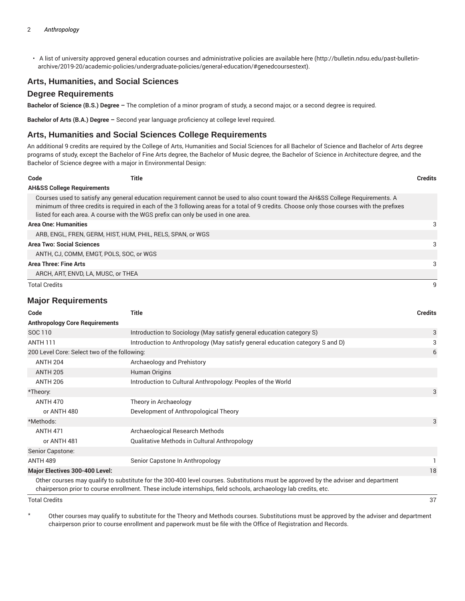• A list of university approved general education courses and administrative policies are available here (http://bulletin.ndsu.edu/past-bulletinarchive/2019-20/academic-policies/undergraduate-policies/general-education/#genedcoursestext).

#### **Arts, Humanities, and Social Sciences**

#### **Degree Requirements**

**Bachelor of Science (B.S.) Degree –** The completion of a minor program of study, a second major, or a second degree is required.

**Bachelor of Arts (B.A.) Degree –** Second year language proficiency at college level required.

#### **Arts, Humanities and Social Sciences College Requirements**

An additional 9 credits are required by the College of Arts, Humanities and Social Sciences for all Bachelor of Science and Bachelor of Arts degree programs of study, except the Bachelor of Fine Arts degree, the Bachelor of Music degree, the Bachelor of Science in Architecture degree, and the Bachelor of Science degree with a major in Environmental Design:

| Code                                  | Title                                                                            |                                                                                                                                                                                                                                                                                | <b>Credits</b> |
|---------------------------------------|----------------------------------------------------------------------------------|--------------------------------------------------------------------------------------------------------------------------------------------------------------------------------------------------------------------------------------------------------------------------------|----------------|
| <b>AH&amp;SS College Requirements</b> |                                                                                  |                                                                                                                                                                                                                                                                                |                |
|                                       | listed for each area. A course with the WGS prefix can only be used in one area. | Courses used to satisfy any general education requirement cannot be used to also count toward the AH&SS College Requirements. A<br>minimum of three credits is required in each of the 3 following areas for a total of 9 credits. Choose only those courses with the prefixes |                |
| <b>Area One: Humanities</b>           |                                                                                  |                                                                                                                                                                                                                                                                                | 3              |
|                                       | ARB, ENGL, FREN, GERM, HIST, HUM, PHIL, RELS, SPAN, or WGS                       |                                                                                                                                                                                                                                                                                |                |
| <b>Area Two: Social Sciences</b>      |                                                                                  |                                                                                                                                                                                                                                                                                | 3              |
|                                       | ANTH, CJ, COMM, EMGT, POLS, SOC, or WGS                                          |                                                                                                                                                                                                                                                                                |                |
| Area Three: Fine Arts                 |                                                                                  |                                                                                                                                                                                                                                                                                | 3              |
|                                       | ARCH, ART, ENVD, LA, MUSC, or THEA                                               |                                                                                                                                                                                                                                                                                |                |
| <b>Total Credits</b>                  |                                                                                  |                                                                                                                                                                                                                                                                                |                |

#### **Major Requirements**

| Code                                         | <b>Title</b>                                                                                                                                                                                                                                           | <b>Credits</b> |
|----------------------------------------------|--------------------------------------------------------------------------------------------------------------------------------------------------------------------------------------------------------------------------------------------------------|----------------|
| <b>Anthropology Core Requirements</b>        |                                                                                                                                                                                                                                                        |                |
| SOC 110                                      | Introduction to Sociology (May satisfy general education category S)                                                                                                                                                                                   | 3              |
| <b>ANTH 111</b>                              | Introduction to Anthropology (May satisfy general education category S and D)                                                                                                                                                                          | 3              |
| 200 Level Core: Select two of the following: |                                                                                                                                                                                                                                                        | 6              |
| <b>ANTH 204</b>                              | Archaeology and Prehistory                                                                                                                                                                                                                             |                |
| <b>ANTH 205</b>                              | Human Origins                                                                                                                                                                                                                                          |                |
| <b>ANTH 206</b>                              | Introduction to Cultural Anthropology: Peoples of the World                                                                                                                                                                                            |                |
| *Theory:                                     |                                                                                                                                                                                                                                                        | 3              |
| <b>ANTH 470</b>                              | Theory in Archaeology                                                                                                                                                                                                                                  |                |
| or ANTH 480                                  | Development of Anthropological Theory                                                                                                                                                                                                                  |                |
| *Methods:                                    |                                                                                                                                                                                                                                                        | 3              |
| <b>ANTH 471</b>                              | Archaeological Research Methods                                                                                                                                                                                                                        |                |
| or ANTH 481                                  | Qualitative Methods in Cultural Anthropology                                                                                                                                                                                                           |                |
| Senior Capstone:                             |                                                                                                                                                                                                                                                        |                |
| <b>ANTH 489</b>                              | Senior Capstone In Anthropology                                                                                                                                                                                                                        |                |
| <b>Major Electives 300-400 Level:</b>        |                                                                                                                                                                                                                                                        | 18             |
|                                              | Other courses may qualify to substitute for the 300-400 level courses. Substitutions must be approved by the adviser and department<br>chairperson prior to course enrollment. These include internships, field schools, archaeology lab credits, etc. |                |
| <b>Total Credits</b>                         |                                                                                                                                                                                                                                                        | 37             |

\* Other courses may qualify to substitute for the Theory and Methods courses. Substitutions must be approved by the adviser and department chairperson prior to course enrollment and paperwork must be file with the Office of Registration and Records.